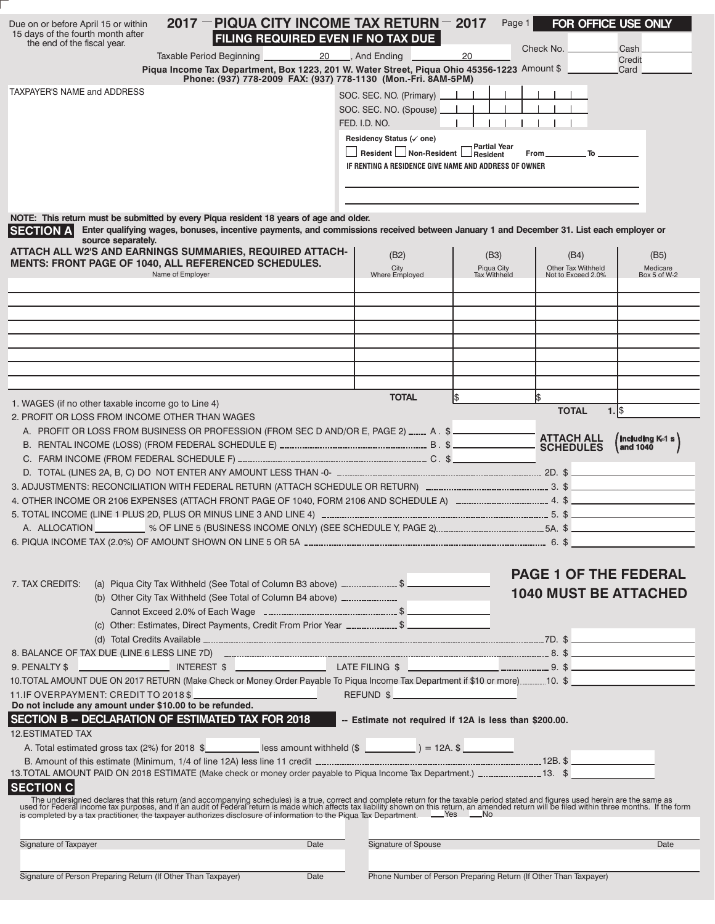| Due on or before April 15 or within<br>15 days of the fourth month after<br>the end of the fiscal year.                      | 2017 - PIQUA CITY INCOME TAX RETURN - 2017<br>FILING REQUIRED EVEN IF NO TAX DUE                                                                                                                                                 |                          |                                                                  | Page 1                     | FOR OFFICE USE ONLY<br>Check No. .       | Cash                     |  |
|------------------------------------------------------------------------------------------------------------------------------|----------------------------------------------------------------------------------------------------------------------------------------------------------------------------------------------------------------------------------|--------------------------|------------------------------------------------------------------|----------------------------|------------------------------------------|--------------------------|--|
|                                                                                                                              | Taxable Period Beginning<br>20<br>Piqua Income Tax Department, Box 1223, 201 W. Water Street, Piqua Ohio 45356-1223 Amount \$                                                                                                    |                          | And Ending                                                       | 20                         |                                          | Credit<br>Card           |  |
|                                                                                                                              | Phone: (937) 778-2009 FAX: (937) 778-1130 (Mon.-Fri. 8AM-5PM)                                                                                                                                                                    |                          |                                                                  |                            |                                          |                          |  |
| <b>TAXPAYER'S NAME and ADDRESS</b>                                                                                           |                                                                                                                                                                                                                                  | SOC. SEC. NO. (Primary). |                                                                  |                            |                                          |                          |  |
|                                                                                                                              |                                                                                                                                                                                                                                  |                          | SOC. SEC. NO. (Spouse)<br>FED. I.D. NO.                          |                            |                                          |                          |  |
|                                                                                                                              |                                                                                                                                                                                                                                  |                          | Residency Status (√ one)                                         |                            |                                          |                          |  |
|                                                                                                                              |                                                                                                                                                                                                                                  |                          | Resident Non-Resident Resident                                   |                            | $To$ and $\blacksquare$<br>From_         |                          |  |
|                                                                                                                              |                                                                                                                                                                                                                                  |                          | IF RENTING A RESIDENCE GIVE NAME AND ADDRESS OF OWNER            |                            |                                          |                          |  |
|                                                                                                                              |                                                                                                                                                                                                                                  |                          |                                                                  |                            |                                          |                          |  |
|                                                                                                                              |                                                                                                                                                                                                                                  |                          |                                                                  |                            |                                          |                          |  |
| <b>SECTION A</b>                                                                                                             | NOTE: This return must be submitted by every Piqua resident 18 years of age and older.<br>Enter qualifying wages, bonuses, incentive payments, and commissions received between January 1 and December 31. List each employer or |                          |                                                                  |                            |                                          |                          |  |
| source separately.                                                                                                           |                                                                                                                                                                                                                                  |                          |                                                                  |                            |                                          |                          |  |
|                                                                                                                              | ATTACH ALL W2'S AND EARNINGS SUMMARIES, REQUIRED ATTACH-<br><b>MENTS: FRONT PAGE OF 1040, ALL REFERENCED SCHEDULES.</b>                                                                                                          |                          | (B2)                                                             | (B3)                       | (B4)                                     | (B5)                     |  |
|                                                                                                                              | Name of Employer                                                                                                                                                                                                                 |                          | City<br>Where Employed                                           | Piqua City<br>Tax Withheld | Other Tax Withheld<br>Not to Exceed 2.0% | Medicare<br>Box 5 of W-2 |  |
|                                                                                                                              |                                                                                                                                                                                                                                  |                          |                                                                  |                            |                                          |                          |  |
|                                                                                                                              |                                                                                                                                                                                                                                  |                          |                                                                  |                            |                                          |                          |  |
|                                                                                                                              |                                                                                                                                                                                                                                  |                          |                                                                  |                            |                                          |                          |  |
|                                                                                                                              |                                                                                                                                                                                                                                  |                          |                                                                  |                            |                                          |                          |  |
|                                                                                                                              |                                                                                                                                                                                                                                  |                          |                                                                  |                            |                                          |                          |  |
|                                                                                                                              |                                                                                                                                                                                                                                  |                          |                                                                  |                            |                                          |                          |  |
| 1. WAGES (if no other taxable income go to Line 4)                                                                           |                                                                                                                                                                                                                                  |                          | <b>TOTAL</b>                                                     | 1\$                        | Ι\$                                      |                          |  |
| 2. PROFIT OR LOSS FROM INCOME OTHER THAN WAGES                                                                               |                                                                                                                                                                                                                                  |                          |                                                                  |                            | <b>TOTAL</b>                             | $1.1$ \$                 |  |
|                                                                                                                              | A. PROFIT OR LOSS FROM BUSINESS OR PROFESSION (FROM SEC D AND/OR E, PAGE 2) _____ A. \$                                                                                                                                          |                          |                                                                  |                            | <b>ATTACH ALL</b>                        |                          |  |
|                                                                                                                              |                                                                                                                                                                                                                                  |                          |                                                                  |                            | <b>SCHEDULES</b>                         | and 1040                 |  |
|                                                                                                                              |                                                                                                                                                                                                                                  |                          |                                                                  |                            |                                          |                          |  |
|                                                                                                                              |                                                                                                                                                                                                                                  |                          |                                                                  |                            |                                          |                          |  |
|                                                                                                                              |                                                                                                                                                                                                                                  |                          |                                                                  |                            |                                          |                          |  |
|                                                                                                                              |                                                                                                                                                                                                                                  |                          |                                                                  |                            |                                          |                          |  |
|                                                                                                                              |                                                                                                                                                                                                                                  |                          |                                                                  |                            |                                          |                          |  |
|                                                                                                                              |                                                                                                                                                                                                                                  |                          |                                                                  |                            |                                          |                          |  |
|                                                                                                                              | 7. TAX CREDITS: (a) Piqua City Tax Withheld (See Total of Column B3 above) _________________________                                                                                                                             |                          |                                                                  |                            | <b>PAGE 1 OF THE FEDERAL</b>             |                          |  |
|                                                                                                                              | (b) Other City Tax Withheld (See Total of Column B4 above) ________________                                                                                                                                                      |                          |                                                                  |                            | <b>1040 MUST BE ATTACHED</b>             |                          |  |
|                                                                                                                              |                                                                                                                                                                                                                                  |                          |                                                                  |                            |                                          |                          |  |
|                                                                                                                              | (c) Other: Estimates, Direct Payments, Credit From Prior Year _ \$                                                                                                                                                               |                          |                                                                  |                            |                                          |                          |  |
|                                                                                                                              |                                                                                                                                                                                                                                  |                          |                                                                  |                            |                                          |                          |  |
|                                                                                                                              |                                                                                                                                                                                                                                  |                          |                                                                  |                            |                                          |                          |  |
| 10. TOTAL AMOUNT DUE ON 2017 RETURN (Make Check or Money Order Payable To Piqua Income Tax Department if \$10 or more)10. \$ |                                                                                                                                                                                                                                  |                          |                                                                  |                            |                                          |                          |  |
| Do not include any amount under \$10.00 to be refunded.                                                                      | 11. IF OVERPAYMENT: CREDIT TO 2018 \$                                                                                                                                                                                            |                          | REFUND \$                                                        |                            |                                          |                          |  |
|                                                                                                                              | SECTION B -- DECLARATION OF ESTIMATED TAX FOR 2018                                                                                                                                                                               |                          | -- Estimate not required if 12A is less than \$200.00.           |                            |                                          |                          |  |
| <b>12.ESTIMATED TAX</b>                                                                                                      |                                                                                                                                                                                                                                  |                          |                                                                  |                            |                                          |                          |  |
|                                                                                                                              |                                                                                                                                                                                                                                  |                          |                                                                  |                            |                                          |                          |  |
|                                                                                                                              |                                                                                                                                                                                                                                  |                          |                                                                  |                            |                                          |                          |  |
| <b>SECTION C</b>                                                                                                             |                                                                                                                                                                                                                                  |                          |                                                                  |                            |                                          |                          |  |
|                                                                                                                              | The undersigned declares that this return (and accompanying schedules) is a true, correct and complete return for the taxable period stated and figures used herein are the same as used for Federal income tax purposes, and    |                          |                                                                  |                            |                                          |                          |  |
|                                                                                                                              |                                                                                                                                                                                                                                  |                          |                                                                  |                            |                                          |                          |  |
|                                                                                                                              |                                                                                                                                                                                                                                  |                          |                                                                  |                            |                                          |                          |  |
| Signature of Taxpayer                                                                                                        | Date                                                                                                                                                                                                                             |                          | Signature of Spouse                                              |                            |                                          | Date                     |  |
| Signature of Person Preparing Return (If Other Than Taxpayer)                                                                | Date                                                                                                                                                                                                                             |                          | Phone Number of Person Preparing Return (If Other Than Taxpayer) |                            |                                          |                          |  |
|                                                                                                                              |                                                                                                                                                                                                                                  |                          |                                                                  |                            |                                          |                          |  |